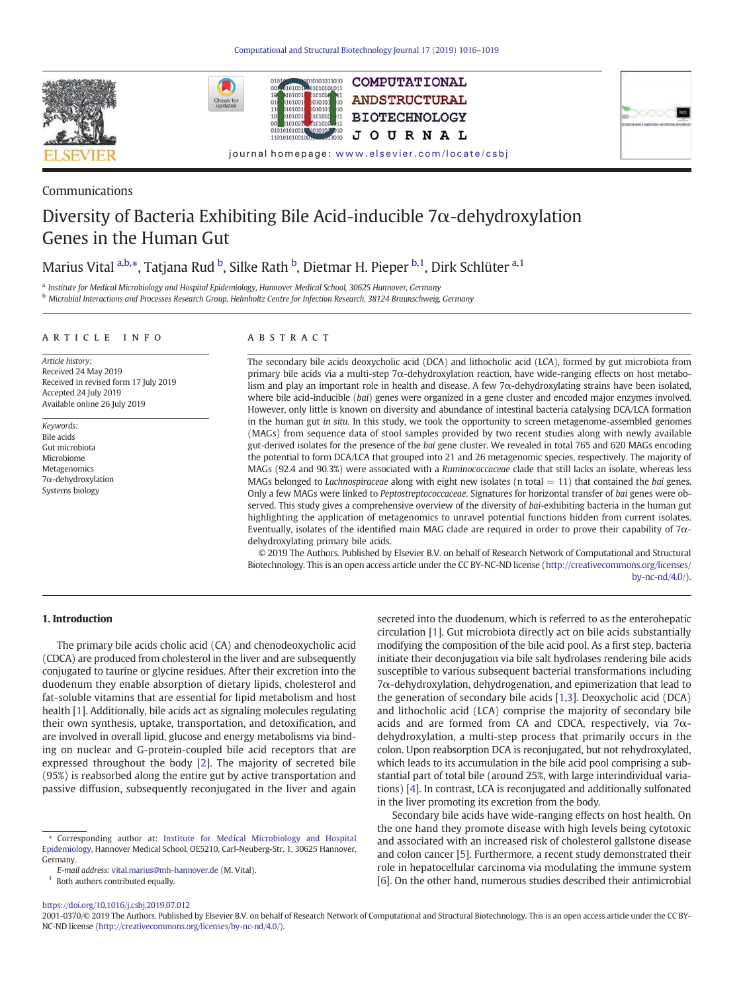







### Communications

# Diversity of Bacteria Exhibiting Bile Acid-inducible  $7\alpha$ -dehydroxylation Genes in the Human Gut

10101010010

## Marius Vital <sup>a,b,</sup>\*, Tatjana Rud <sup>b</sup>, Silke Rath <sup>b</sup>, Dietmar H. Pieper <sup>b,1</sup>, Dirk Schlüter <sup>a,1</sup>

a Institute for Medical Microbiology and Hospital Epidemiology, Hannover Medical School, 30625 Hannover, Germany

<sup>b</sup> Microbial Interactions and Processes Research Group, Helmholtz Centre for Infection Research, 38124 Braunschweig, Germany

#### article info abstract

Article history: Received 24 May 2019 Received in revised form 17 July 2019 Accepted 24 July 2019 Available online 26 July 2019

Keywords: Bile acids Gut microbiota Microbiome Metagenomics 7α-dehydroxylation Systems biology

The secondary bile acids deoxycholic acid (DCA) and lithocholic acid (LCA), formed by gut microbiota from primary bile acids via a multi-step 7α-dehydroxylation reaction, have wide-ranging effects on host metabolism and play an important role in health and disease. A few 7α-dehydroxylating strains have been isolated, where bile acid-inducible (bai) genes were organized in a gene cluster and encoded major enzymes involved. However, only little is known on diversity and abundance of intestinal bacteria catalysing DCA/LCA formation in the human gut in situ. In this study, we took the opportunity to screen metagenome-assembled genomes (MAGs) from sequence data of stool samples provided by two recent studies along with newly available gut-derived isolates for the presence of the bai gene cluster. We revealed in total 765 and 620 MAGs encoding the potential to form DCA/LCA that grouped into 21 and 26 metagenomic species, respectively. The majority of MAGs (92.4 and 90.3%) were associated with a Ruminococcaceae clade that still lacks an isolate, whereas less MAGs belonged to *Lachnospiraceae* along with eight new isolates (n total  $= 11$ ) that contained the *bai* genes. Only a few MAGs were linked to Peptostreptococcaceae. Signatures for horizontal transfer of bai genes were observed. This study gives a comprehensive overview of the diversity of bai-exhibiting bacteria in the human gut highlighting the application of metagenomics to unravel potential functions hidden from current isolates. Eventually, isolates of the identified main MAG clade are required in order to prove their capability of 7αdehydroxylating primary bile acids.

© 2019 The Authors. Published by Elsevier B.V. on behalf of Research Network of Computational and Structural Biotechnology. This is an open access article under the CC BY-NC-ND license [\(http://creativecommons.org/licenses/](http://creativecommons.org/licenses/by-nc-nd/4.0/) [by-nc-nd/4.0/](http://creativecommons.org/licenses/by-nc-nd/4.0/)).

#### 1. Introduction

The primary bile acids cholic acid (CA) and chenodeoxycholic acid (CDCA) are produced from cholesterol in the liver and are subsequently conjugated to taurine or glycine residues. After their excretion into the duodenum they enable absorption of dietary lipids, cholesterol and fat-soluble vitamins that are essential for lipid metabolism and host health [\[1\]](#page-3-0). Additionally, bile acids act as signaling molecules regulating their own synthesis, uptake, transportation, and detoxification, and are involved in overall lipid, glucose and energy metabolisms via binding on nuclear and G-protein-coupled bile acid receptors that are expressed throughout the body [\[2](#page-3-0)]. The majority of secreted bile (95%) is reabsorbed along the entire gut by active transportation and passive diffusion, subsequently reconjugated in the liver and again

 $^{\rm 1}$  Both authors contributed equally.

secreted into the duodenum, which is referred to as the enterohepatic circulation [[1](#page-3-0)]. Gut microbiota directly act on bile acids substantially modifying the composition of the bile acid pool. As a first step, bacteria initiate their deconjugation via bile salt hydrolases rendering bile acids susceptible to various subsequent bacterial transformations including 7α-dehydroxylation, dehydrogenation, and epimerization that lead to the generation of secondary bile acids [\[1,3](#page-3-0)]. Deoxycholic acid (DCA) and lithocholic acid (LCA) comprise the majority of secondary bile acids and are formed from CA and CDCA, respectively, via  $7\alpha$ dehydroxylation, a multi-step process that primarily occurs in the colon. Upon reabsorption DCA is reconjugated, but not rehydroxylated, which leads to its accumulation in the bile acid pool comprising a substantial part of total bile (around 25%, with large interindividual variations) [[4](#page-3-0)]. In contrast, LCA is reconjugated and additionally sulfonated in the liver promoting its excretion from the body.

Secondary bile acids have wide-ranging effects on host health. On the one hand they promote disease with high levels being cytotoxic and associated with an increased risk of cholesterol gallstone disease and colon cancer [[5](#page-3-0)]. Furthermore, a recent study demonstrated their role in hepatocellular carcinoma via modulating the immune system [\[6\]](#page-3-0). On the other hand, numerous studies described their antimicrobial

#### <https://doi.org/10.1016/j.csbj.2019.07.012>

2001-0370/© 2019 The Authors. Published by Elsevier B.V. on behalf of Research Network of Computational and Structural Biotechnology. This is an open access article under the CC BY-NC-ND license [\(http://creativecommons.org/licenses/by-nc-nd/4.0/\)](http://creativecommons.org/licenses/by-nc-nd/4.0/).

<sup>⁎</sup> Corresponding author at: [Institute for Medical Microbiology and Hospital](https://www.researchgate.net/institution/Hannover_Medical_School/department/Institute_for_Medical_Microbiology_and_Hospital_Epidemiology) [Epidemiology,](https://www.researchgate.net/institution/Hannover_Medical_School/department/Institute_for_Medical_Microbiology_and_Hospital_Epidemiology) Hannover Medical School, OE5210, Carl-Neuberg-Str. 1, 30625 Hannover, Germany.

E-mail address: [vital.marius@mh-hannover.de](mailto:vital.marius@mh-hannover.de) (M. Vital).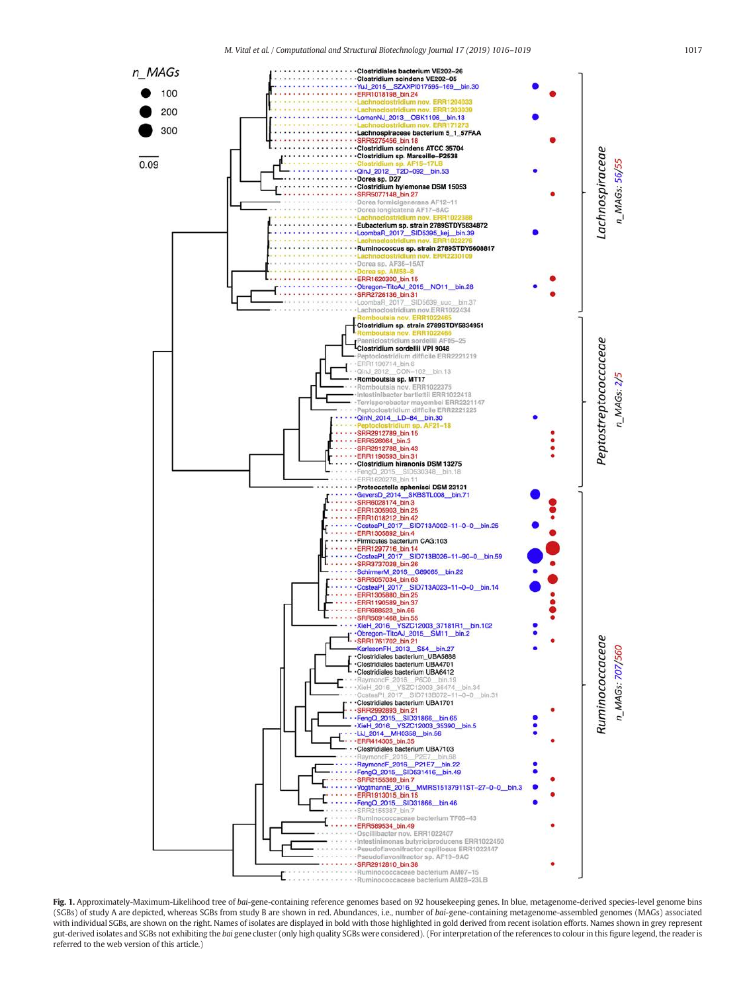M. Vital et al. / Computational and Structural Biotechnology Journal 17 (2019) 1016–1019 1017

<span id="page-1-0"></span>

Fig. 1. Approximately-Maximum-Likelihood tree of bai-gene-containing reference genomes based on 92 housekeeping genes. In blue, metagenome-derived species-level genome bins (SGBs) of study A are depicted, whereas SGBs from study B are shown in red. Abundances, i.e., number of bai-gene-containing metagenome-assembled genomes (MAGs) associated with individual SGBs, are shown on the right. Names of isolates are displayed in bold with those highlighted in gold derived from recent isolation efforts. Names shown in grey represent gut-derived isolates and SGBs not exhibiting the bai gene cluster (only high quality SGBs were considered). (For interpretation of the references to colour in this figure legend, the reader is referred to the web version of this article.)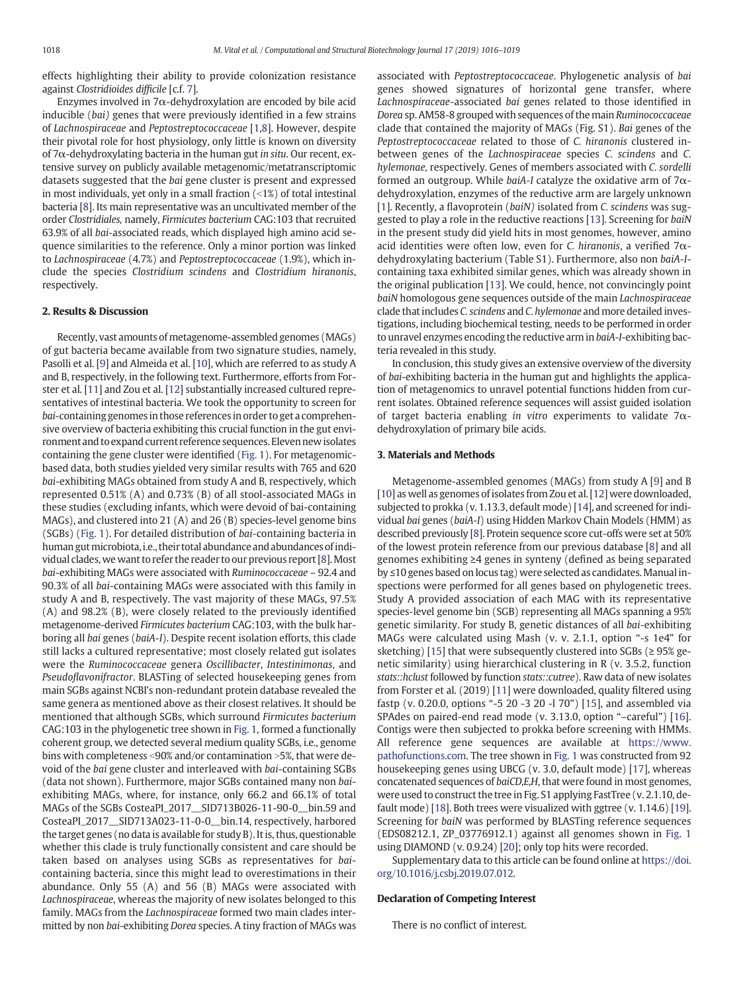effects highlighting their ability to provide colonization resistance against Clostridioides difficile [c.f. [7](#page-3-0)].

Enzymes involved in 7 $\alpha$ -dehydroxylation are encoded by bile acid inducible (bai) genes that were previously identified in a few strains of Lachnospiraceae and Peptostreptococcaceae [[1,8\]](#page-3-0). However, despite their pivotal role for host physiology, only little is known on diversity of 7α-dehydroxylating bacteria in the human gut in situ. Our recent, extensive survey on publicly available metagenomic/metatranscriptomic datasets suggested that the bai gene cluster is present and expressed in most individuals, yet only in a small fraction  $(\leq1%)$  of total intestinal bacteria [\[8\]](#page-3-0). Its main representative was an uncultivated member of the order Clostridiales, namely, Firmicutes bacterium CAG:103 that recruited 63.9% of all bai-associated reads, which displayed high amino acid sequence similarities to the reference. Only a minor portion was linked to Lachnospiraceae (4.7%) and Peptostreptococcaceae (1.9%), which include the species Clostridium scindens and Clostridium hiranonis, respectively.

#### 2. Results & Discussion

Recently, vast amounts of metagenome-assembled genomes (MAGs) of gut bacteria became available from two signature studies, namely, Pasolli et al. [[9](#page-3-0)] and Almeida et al. [[10\]](#page-3-0), which are referred to as study A and B, respectively, in the following text. Furthermore, efforts from Forster et al. [\[11](#page-3-0)] and Zou et al. [\[12\]](#page-3-0) substantially increased cultured representatives of intestinal bacteria. We took the opportunity to screen for bai-containing genomes in those references in order to get a comprehensive overview of bacteria exhibiting this crucial function in the gut environment and to expand current reference sequences. Eleven newisolates containing the gene cluster were identified [\(Fig. 1\)](#page-1-0). For metagenomicbased data, both studies yielded very similar results with 765 and 620 bai-exhibiting MAGs obtained from study A and B, respectively, which represented 0.51% (A) and 0.73% (B) of all stool-associated MAGs in these studies (excluding infants, which were devoid of bai-containing MAGs), and clustered into 21 (A) and 26 (B) species-level genome bins (SGBs) ([Fig. 1\)](#page-1-0). For detailed distribution of bai-containing bacteria in human gut microbiota, i.e., their total abundance and abundances of individual clades, we want to refer the reader to our previous report [[8](#page-3-0)].Most bai-exhibiting MAGs were associated with Ruminococcaceae – 92.4 and 90.3% of all bai-containing MAGs were associated with this family in study A and B, respectively. The vast majority of these MAGs, 97.5% (A) and 98.2% (B), were closely related to the previously identified metagenome-derived Firmicutes bacterium CAG:103, with the bulk harboring all bai genes (baiA-I). Despite recent isolation efforts, this clade still lacks a cultured representative; most closely related gut isolates were the Ruminococcaceae genera Oscillibacter, Intestinimonas, and Pseudoflavonifractor. BLASTing of selected housekeeping genes from main SGBs against NCBI's non-redundant protein database revealed the same genera as mentioned above as their closest relatives. It should be mentioned that although SGBs, which surround Firmicutes bacterium CAG:103 in the phylogenetic tree shown in [Fig. 1](#page-1-0), formed a functionally coherent group, we detected several medium quality SGBs, i.e., genome bins with completeness  $\leq$ 90% and/or contamination  $\geq$ 5%, that were devoid of the bai gene cluster and interleaved with bai-containing SGBs (data not shown). Furthermore, major SGBs contained many non baiexhibiting MAGs, where, for instance, only 66.2 and 66.1% of total MAGs of the SGBs CosteaPI\_2017\_\_SID713B026-11-90-0\_\_bin.59 and CosteaPI\_2017\_\_SID713A023-11-0-0\_\_bin.14, respectively, harbored the target genes (no data is available for study B). It is, thus, questionable whether this clade is truly functionally consistent and care should be taken based on analyses using SGBs as representatives for baicontaining bacteria, since this might lead to overestimations in their abundance. Only 55 (A) and 56 (B) MAGs were associated with Lachnospiraceae, whereas the majority of new isolates belonged to this family. MAGs from the Lachnospiraceae formed two main clades intermitted by non bai-exhibiting Dorea species. A tiny fraction of MAGs was associated with Peptostreptococcaceae. Phylogenetic analysis of bai genes showed signatures of horizontal gene transfer, where Lachnospiraceae-associated bai genes related to those identified in Dorea sp. AM58-8 grouped with sequences of the main Ruminococcaceae clade that contained the majority of MAGs (Fig. S1). Bai genes of the Peptostreptococcaceae related to those of C. hiranonis clustered inbetween genes of the Lachnospiraceae species C. scindens and C. hylemonae, respectively. Genes of members associated with C. sordelli formed an outgroup. While baiA-I catalyze the oxidative arm of  $7\alpha$ dehydroxylation, enzymes of the reductive arm are largely unknown [[1](#page-3-0)]. Recently, a flavoprotein (baiN) isolated from C. scindens was suggested to play a role in the reductive reactions [[13\]](#page-3-0). Screening for baiN in the present study did yield hits in most genomes, however, amino acid identities were often low, even for C. hiranonis, a verified  $7\alpha$ dehydroxylating bacterium (Table S1). Furthermore, also non baiA-Icontaining taxa exhibited similar genes, which was already shown in the original publication [\[13\]](#page-3-0). We could, hence, not convincingly point baiN homologous gene sequences outside of the main Lachnospiraceae clade that includes C. scindens and C. hylemonae and more detailed investigations, including biochemical testing, needs to be performed in order to unravel enzymes encoding the reductive arm in baiA-I-exhibiting bacteria revealed in this study.

In conclusion, this study gives an extensive overview of the diversity of bai-exhibiting bacteria in the human gut and highlights the application of metagenomics to unravel potential functions hidden from current isolates. Obtained reference sequences will assist guided isolation of target bacteria enabling in vitro experiments to validate  $7\alpha$ dehydroxylation of primary bile acids.

#### 3. Materials and Methods

Metagenome-assembled genomes (MAGs) from study A [[9](#page-3-0)] and B [\[10](#page-3-0)] as well as genomes of isolates from Zou et al. [\[12](#page-3-0)] were downloaded, subjected to prokka (v. 1.13.3, default mode) [\[14](#page-3-0)], and screened for individual bai genes (baiA-I) using Hidden Markov Chain Models (HMM) as described previously [[8](#page-3-0)]. Protein sequence score cut-offs were set at 50% of the lowest protein reference from our previous database [\[8\]](#page-3-0) and all genomes exhibiting ≥4 genes in synteny (defined as being separated by ≤10 genes based on locus tag) were selected as candidates. Manualinspections were performed for all genes based on phylogenetic trees. Study A provided association of each MAG with its representative species-level genome bin (SGB) representing all MAGs spanning a 95% genetic similarity. For study B, genetic distances of all bai-exhibiting MAGs were calculated using Mash (v. v. 2.1.1, option "-s 1e4" for sketching) [\[15](#page-3-0)] that were subsequently clustered into SGBs ( $\geq$  95% genetic similarity) using hierarchical clustering in R (v. 3.5.2, function stats::hclust followed by function stats::cutree). Raw data of new isolates from Forster et al. (2019) [[11\]](#page-3-0) were downloaded, quality filtered using fastp (v. 0.20.0, options "-5 20 -3 20 -l 70") [\[15](#page-3-0)], and assembled via SPAdes on paired-end read mode (v. 3.13.0, option "–careful") [[16](#page-3-0)]. Contigs were then subjected to prokka before screening with HMMs. All reference gene sequences are available at [https://www.](https://www.pathofunctions.com) [pathofunctions.com.](https://www.pathofunctions.com) The tree shown in [Fig. 1](#page-1-0) was constructed from 92 housekeeping genes using UBCG (v. 3.0, default mode) [[17](#page-3-0)], whereas concatenated sequences of baiCD,E,H, that were found in most genomes, were used to construct the tree in Fig. S1 applying FastTree (v. 2.1.10, default mode) [[18](#page-3-0)]. Both trees were visualized with ggtree (v. 1.14.6) [\[19](#page-3-0)]. Screening for baiN was performed by BLASTing reference sequences (EDS08212.1, ZP\_03776912.1) against all genomes shown in [Fig. 1](#page-1-0) using DIAMOND (v. 0.9.24) [[20](#page-3-0)]; only top hits were recorded.

Supplementary data to this article can be found online at [https://doi.](https://doi.org/10.1016/j.csbj.2019.07.012) [org/10.1016/j.csbj.2019.07.012](https://doi.org/10.1016/j.csbj.2019.07.012).

#### Declaration of Competing Interest

There is no conflict of interest.